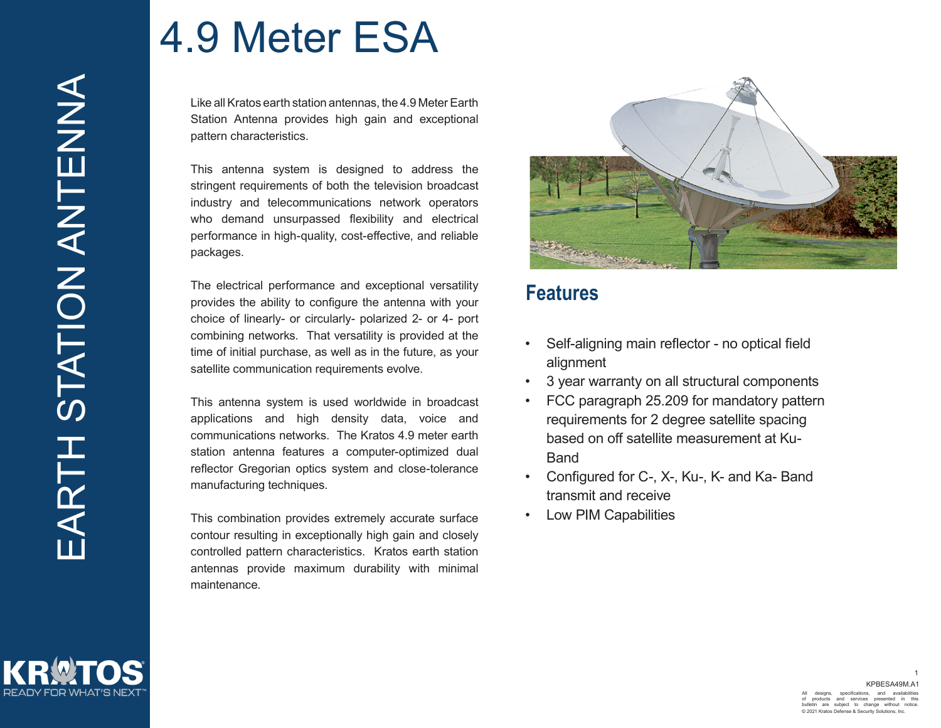Like all Kratos earth station antennas, the 4.9 Meter Earth Station Antenna provides high gain and exceptional pattern characteristics.

This antenna system is designed to address the stringent requirements of both the television broadcast industry and telecommunications network operators who demand unsurpassed flexibility and electrical performance in high-quality, cost-effective, and reliable packages.

The electrical performance and exceptional versatility provides the ability to configure the antenna with your choice of linearly- or circularly- polarized 2- or 4- port combining networks. That versatility is provided at the time of initial purchase, as well as in the future, as your satellite communication requirements evolve.

This antenna system is used worldwide in broadcast applications and high density data, voice and communications networks. The Kratos 4.9 meter earth station antenna features a computer-optimized dual reflector Gregorian optics system and close-tolerance manufacturing techniques.

This combination provides extremely accurate surface contour resulting in exceptionally high gain and closely controlled pattern characteristics. Kratos earth station antennas provide maximum durability with minimal maintenance.



#### **Features**

- Self-aligning main reflector no optical field alignment
- 3 year warranty on all structural components
- FCC paragraph 25.209 for mandatory pattern requirements for 2 degree satellite spacing based on off satellite measurement at Ku-Band
- Configured for C-, X-, Ku-, K- and Ka- Band transmit and receive
- Low PIM Capabilities

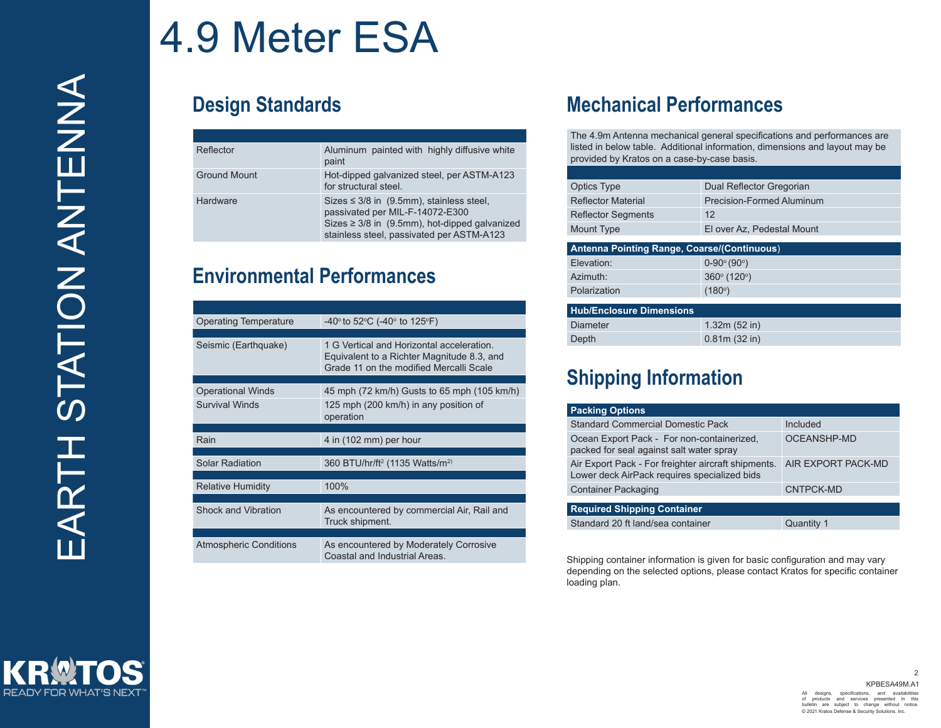**READY FOR WHAT'S NEXT** 

# 4.9 Meter ESA

| Reflector           | Aluminum painted with highly diffusive white<br>paint                                                                                                                          |
|---------------------|--------------------------------------------------------------------------------------------------------------------------------------------------------------------------------|
| <b>Ground Mount</b> | Hot-dipped galvanized steel, per ASTM-A123<br>for structural steel.                                                                                                            |
| Hardware            | Sizes $\leq$ 3/8 in (9.5mm), stainless steel,<br>passivated per MIL-F-14072-E300<br>Sizes ≥ 3/8 in (9.5mm), hot-dipped galvanized<br>stainless steel, passivated per ASTM-A123 |

#### **Environmental Performances**

| <b>Operating Temperature</b>  | -40 $\degree$ to 52 $\degree$ C (-40 $\degree$ to 125 $\degree$ F)                                                                 |  |  |  |  |
|-------------------------------|------------------------------------------------------------------------------------------------------------------------------------|--|--|--|--|
|                               |                                                                                                                                    |  |  |  |  |
| Seismic (Earthquake)          | 1 G Vertical and Horizontal acceleration.<br>Equivalent to a Richter Magnitude 8.3, and<br>Grade 11 on the modified Mercalli Scale |  |  |  |  |
|                               |                                                                                                                                    |  |  |  |  |
| <b>Operational Winds</b>      | 45 mph (72 km/h) Gusts to 65 mph (105 km/h)                                                                                        |  |  |  |  |
| <b>Survival Winds</b>         | 125 mph (200 km/h) in any position of<br>operation                                                                                 |  |  |  |  |
|                               |                                                                                                                                    |  |  |  |  |
| Rain                          | 4 in (102 mm) per hour                                                                                                             |  |  |  |  |
|                               |                                                                                                                                    |  |  |  |  |
| <b>Solar Radiation</b>        | 360 BTU/hr/ft <sup>2</sup> (1135 Watts/m <sup>2)</sup>                                                                             |  |  |  |  |
|                               |                                                                                                                                    |  |  |  |  |
| <b>Relative Humidity</b>      | 100%                                                                                                                               |  |  |  |  |
|                               |                                                                                                                                    |  |  |  |  |
| Shock and Vibration           | As encountered by commercial Air, Rail and<br>Truck shipment.                                                                      |  |  |  |  |
|                               |                                                                                                                                    |  |  |  |  |
| <b>Atmospheric Conditions</b> | As encountered by Moderately Corrosive<br>Coastal and Industrial Areas                                                             |  |  |  |  |

### **Design Standards Mechanical Performances**

The 4.9m Antenna mechanical general specifications and performances are listed in below table. Additional information, dimensions and layout may be provided by Kratos on a case-by-case basis.

| <b>Optics Type</b>        | Dual Reflector Gregorian         |
|---------------------------|----------------------------------|
| <b>Reflector Material</b> | <b>Precision-Formed Aluminum</b> |
| <b>Reflector Segments</b> | 12                               |
| Mount Type                | El over Az, Pedestal Mount       |
|                           |                                  |

| Antenna Pointing Range, Coarse/(Continuous) |                                 |  |  |  |
|---------------------------------------------|---------------------------------|--|--|--|
| Elevation:                                  | $0 - 90^\circ (90^\circ)$       |  |  |  |
| Azimuth:                                    | $360^{\circ}$ (120 $^{\circ}$ ) |  |  |  |
| Polarization                                | (180°)                          |  |  |  |
|                                             |                                 |  |  |  |

| <b>Hub/Enclosure Dimensions</b> |              |
|---------------------------------|--------------|
| Diameter                        | 1.32m(52 in) |
| Depth                           | 0.81m(32 in) |

### **Shipping Information**

| <b>Packing Options</b>                                                                              |                    |
|-----------------------------------------------------------------------------------------------------|--------------------|
| <b>Standard Commercial Domestic Pack</b>                                                            | Included           |
| Ocean Export Pack - For non-containerized,<br>packed for seal against salt water spray              | <b>OCEANSHP-MD</b> |
| Air Export Pack - For freighter aircraft shipments.<br>Lower deck AirPack requires specialized bids | AIR EXPORT PACK-MD |
| <b>Container Packaging</b>                                                                          | CNTPCK-MD          |
| <b>Required Shipping Container</b>                                                                  |                    |
| Standard 20 ft land/sea container                                                                   | Quantity 1         |

Shipping container information is given for basic configuration and may vary depending on the selected options, please contact Kratos for specific container loading plan.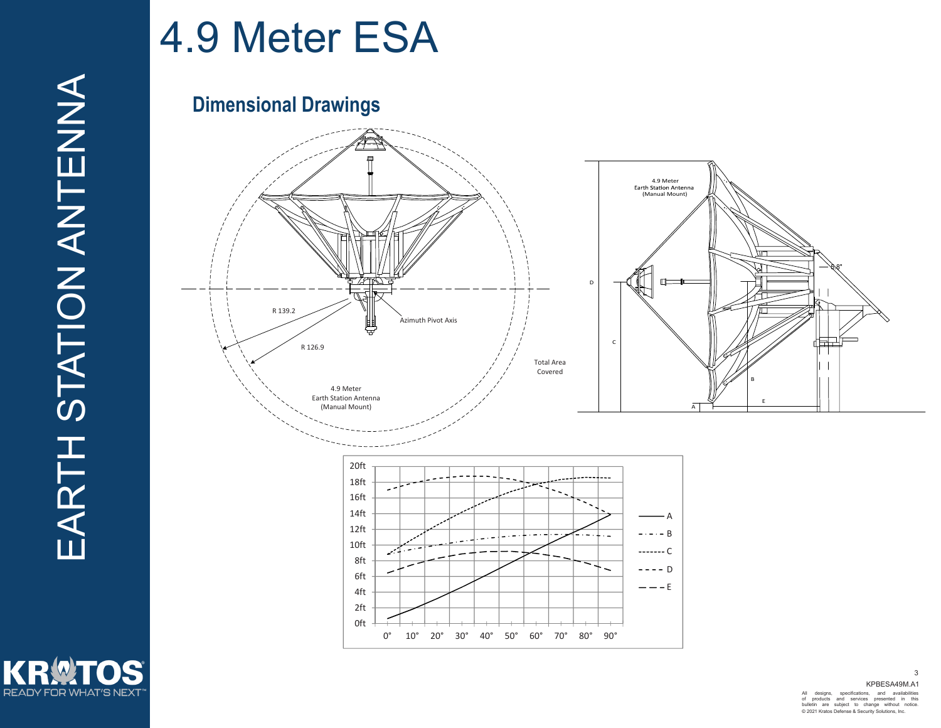KR

**READY FOR WHAT'S NEXT** 

### 4.9 Meter ESA

#### **Dimensional Drawings**



 KPBESA49M.A1 All designs, specifications, and availabilities of products and services presented in this bulletin are subject to change without notice. © 2021 Kratos Defense & Security Solutions, Inc.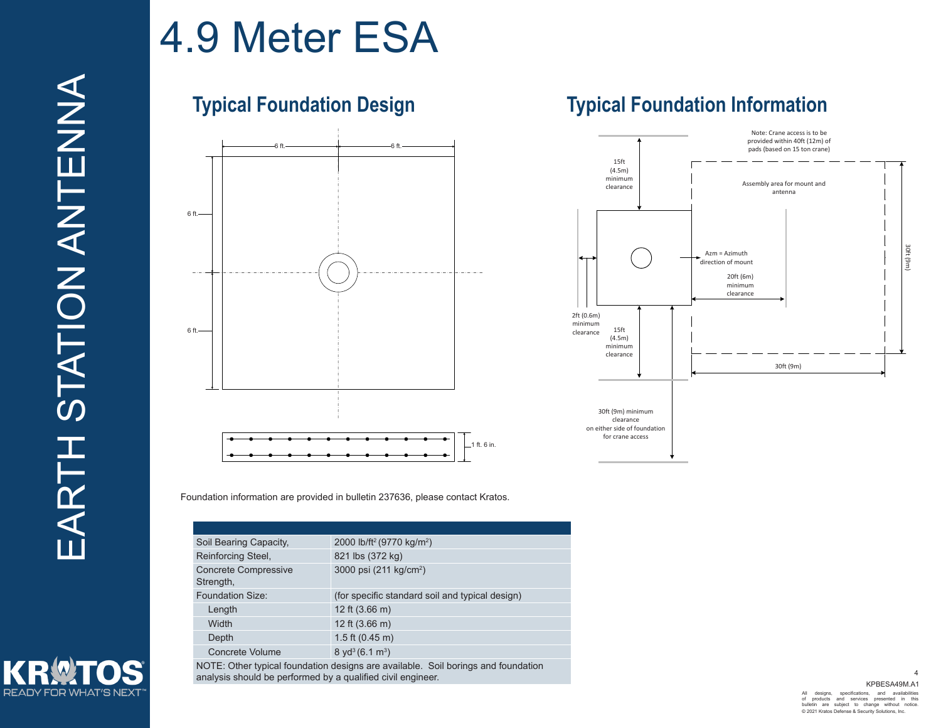**READY FOR WHAT'S NEXT** 

### 4.9 Meter ESA

### **Typical Foundation Design**



### **Typical Foundation Information**



Foundation information are provided in bulletin 237636, please contact Kratos.

| Soil Bearing Capacity,                   | 2000 lb/ft <sup>2</sup> (9770 kg/m <sup>2</sup> )                                 |
|------------------------------------------|-----------------------------------------------------------------------------------|
| Reinforcing Steel,                       | 821 lbs (372 kg)                                                                  |
| <b>Concrete Compressive</b><br>Strength, | 3000 psi (211 kg/cm <sup>2</sup> )                                                |
| Foundation Size:                         | (for specific standard soil and typical design)                                   |
| Length                                   | 12 ft $(3.66 \text{ m})$                                                          |
| Width                                    | 12 ft $(3.66 \text{ m})$                                                          |
| Depth                                    | 1.5 ft $(0.45 \text{ m})$                                                         |
| Concrete Volume                          | $8 \text{ yd}^3 (6.1 \text{ m}^3)$                                                |
|                                          | NOTE: Other typical foundation designs are available. Soil borings and foundation |

analysis should be performed by a qualified civil engineer.

 KPBESA49M.A1 All designs, specifications, and availabilities of products and services presented in this bulletin are subject to change without notice. © 2021 Kratos Defense & Security Solutions, Inc.

4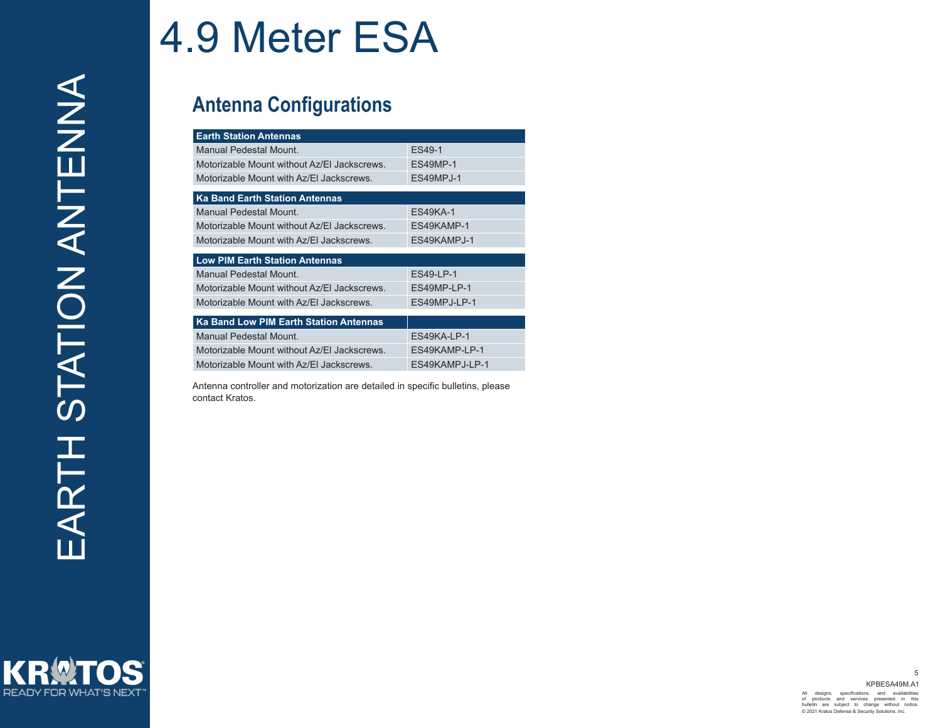#### **Antenna Configurations**

| <b>Earth Station Antennas</b>                 |                 |  |  |  |
|-----------------------------------------------|-----------------|--|--|--|
| <b>Manual Pedestal Mount.</b>                 | ES49-1          |  |  |  |
| Motorizable Mount without Az/EI Jackscrews.   | <b>ES49MP-1</b> |  |  |  |
| Motorizable Mount with Az/EI Jackscrews.      | ES49MPJ-1       |  |  |  |
| <b>Ka Band Earth Station Antennas</b>         |                 |  |  |  |
| Manual Pedestal Mount                         | <b>ES49KA-1</b> |  |  |  |
| Motorizable Mount without Az/EI Jackscrews.   | ES49KAMP-1      |  |  |  |
| Motorizable Mount with Az/EI Jackscrews.      | ES49KAMPJ-1     |  |  |  |
| <b>Low PIM Earth Station Antennas</b>         |                 |  |  |  |
| Manual Pedestal Mount                         | ES49-LP-1       |  |  |  |
| Motorizable Mount without Az/EI Jackscrews.   | ES49MP-LP-1     |  |  |  |
| Motorizable Mount with Az/EI Jackscrews.      | ES49MPJ-LP-1    |  |  |  |
| <b>Ka Band Low PIM Earth Station Antennas</b> |                 |  |  |  |
| Manual Pedestal Mount.                        | ES49KA-LP-1     |  |  |  |
| Motorizable Mount without Az/EI Jackscrews.   | ES49KAMP-LP-1   |  |  |  |
| Motorizable Mount with Az/EI Jackscrews.      | ES49KAMPJ-LP-1  |  |  |  |

Antenna controller and motorization are detailed in specific bulletins, please contact Kratos.

KRW **READY FOR WHAT'S NEXT**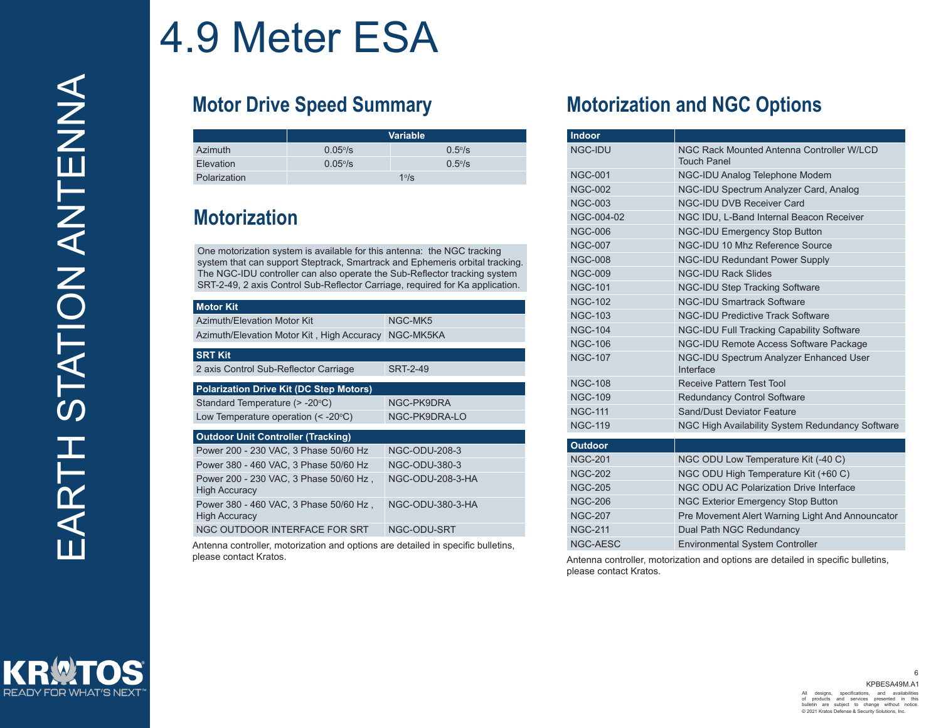### **Motor Drive Speed Summary**

|              | <b>Variable</b> |              |  |  |  |  |
|--------------|-----------------|--------------|--|--|--|--|
| Azimuth      | $0.05\%$        | $0.5\%$      |  |  |  |  |
| Elevation    | $0.05\%$        | $0.5\%$      |  |  |  |  |
| Polarization |                 | $1°\sqrt{s}$ |  |  |  |  |

### **Motorization**

One motorization system is available for this antenna: the NGC tracking system that can support Steptrack, Smartrack and Ephemeris orbital tracking. The NGC-IDU controller can also operate the Sub-Reflector tracking system SRT-2-49, 2 axis Control Sub-Reflector Carriage, required for Ka application.

| <b>Motor Kit</b>                                               |                      |  |  |
|----------------------------------------------------------------|----------------------|--|--|
| Azimuth/Elevation Motor Kit                                    | NGC-MK5              |  |  |
| Azimuth/Elevation Motor Kit, High Accuracy                     | NGC-MK5KA            |  |  |
| <b>SRT Kit</b>                                                 |                      |  |  |
| 2 axis Control Sub-Reflector Carriage                          | <b>SRT-2-49</b>      |  |  |
| <b>Polarization Drive Kit (DC Step Motors)</b>                 |                      |  |  |
| Standard Temperature (> -20°C)                                 | NGC-PK9DRA           |  |  |
| Low Temperature operation $(< -20^{\circ}C)$                   | NGC-PK9DRA-LO        |  |  |
| <b>Outdoor Unit Controller (Tracking)</b>                      |                      |  |  |
| Power 200 - 230 VAC, 3 Phase 50/60 Hz                          | NGC-ODU-208-3        |  |  |
| Power 380 - 460 VAC, 3 Phase 50/60 Hz                          | <b>NGC-ODU-380-3</b> |  |  |
| Power 200 - 230 VAC, 3 Phase 50/60 Hz,<br><b>High Accuracy</b> | NGC-ODU-208-3-HA     |  |  |
| Power 380 - 460 VAC, 3 Phase 50/60 Hz,<br><b>High Accuracy</b> | NGC-ODU-380-3-HA     |  |  |
| NGC OUTDOOR INTERFACE FOR SRT                                  | NGC-ODU-SRT          |  |  |

Antenna controller, motorization and options are detailed in specific bulletins, please contact Kratos. Antenna controller, motorization and options are detailed in specific bulletins,

#### **Motorization and NGC Options**

| <b>Indoor</b>  |                                                                 |
|----------------|-----------------------------------------------------------------|
| NGC-IDU        | NGC Rack Mounted Antenna Controller W/LCD<br><b>Touch Panel</b> |
| <b>NGC-001</b> | NGC-IDU Analog Telephone Modem                                  |
| <b>NGC-002</b> | NGC-IDU Spectrum Analyzer Card, Analog                          |
| <b>NGC-003</b> | <b>NGC-IDU DVB Receiver Card</b>                                |
| NGC-004-02     | NGC IDU, L-Band Internal Beacon Receiver                        |
| <b>NGC-006</b> | <b>NGC-IDU Emergency Stop Button</b>                            |
| <b>NGC-007</b> | NGC-IDU 10 Mhz Reference Source                                 |
| <b>NGC-008</b> | <b>NGC-IDU Redundant Power Supply</b>                           |
| <b>NGC-009</b> | <b>NGC-IDU Rack Slides</b>                                      |
| <b>NGC-101</b> | <b>NGC-IDU Step Tracking Software</b>                           |
| <b>NGC-102</b> | <b>NGC-IDU Smartrack Software</b>                               |
| <b>NGC-103</b> | <b>NGC-IDU Predictive Track Software</b>                        |
| <b>NGC-104</b> | NGC-IDU Full Tracking Capability Software                       |
| <b>NGC-106</b> | NGC-IDU Remote Access Software Package                          |
| <b>NGC-107</b> | NGC-IDU Spectrum Analyzer Enhanced User<br>Interface            |
| <b>NGC-108</b> | <b>Receive Pattern Test Tool</b>                                |
| <b>NGC-109</b> | <b>Redundancy Control Software</b>                              |
| <b>NGC-111</b> | Sand/Dust Deviator Feature                                      |
| <b>NGC-119</b> | NGC High Availability System Redundancy Software                |
| <b>Outdoor</b> |                                                                 |
| <b>NGC-201</b> | NGC ODU Low Temperature Kit (-40 C)                             |
| <b>NGC-202</b> | NGC ODU High Temperature Kit (+60 C)                            |
| <b>NGC-205</b> | NGC ODU AC Polarization Drive Interface                         |
| <b>NGC-206</b> | <b>NGC Exterior Emergency Stop Button</b>                       |
| <b>NGC-207</b> | Pre Movement Alert Warning Light And Announcator                |
| <b>NGC-211</b> | Dual Path NGC Redundancy                                        |
| NGC-AESC       | <b>Environmental System Controller</b>                          |

please contact Kratos.



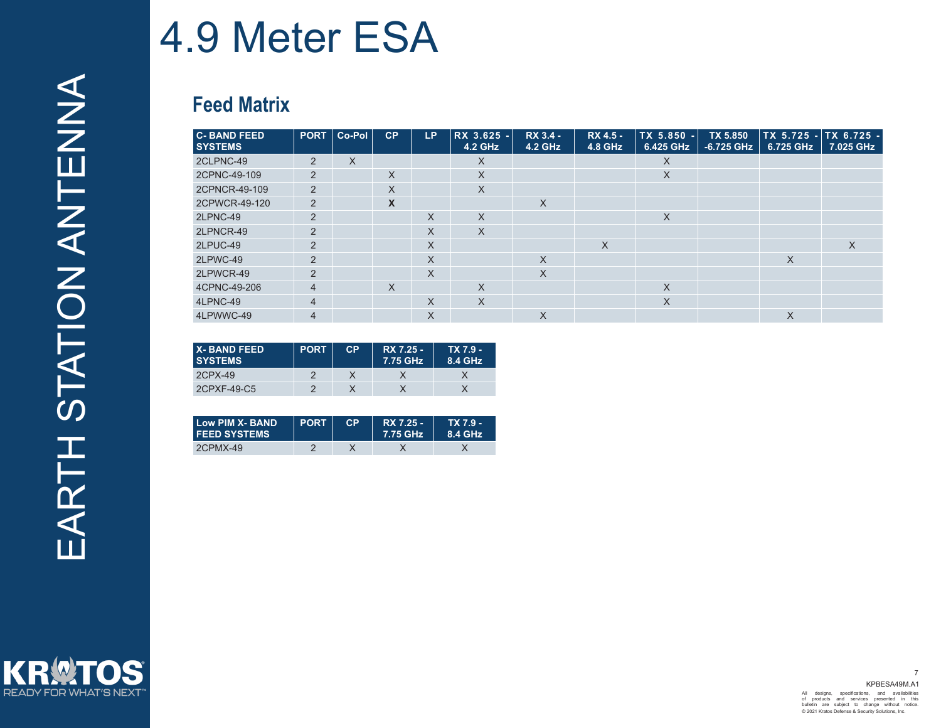### **Feed Matrix**

| <b>C-BAND FEED</b><br><b>SYSTEMS</b> | <b>PORT</b>    | ∣ Co-Pol | CP          | LP.      | RX 3.625 -<br>4.2 GHz | RX 3.4 -<br>4.2 GHz | RX 4.5 -<br>4.8 GHz | TX 5.850 -<br>6.425 GHz | <b>TX 5.850</b><br>-6.725 GHz | TX 5.725 - TX 6.725 -<br>6.725 GHz | 7.025 GHz |
|--------------------------------------|----------------|----------|-------------|----------|-----------------------|---------------------|---------------------|-------------------------|-------------------------------|------------------------------------|-----------|
| 2CLPNC-49                            | $\overline{2}$ | X        |             |          | X                     |                     |                     | X.                      |                               |                                    |           |
| 2CPNC-49-109                         | 2              |          | X           |          | X                     |                     |                     | X                       |                               |                                    |           |
| 2CPNCR-49-109                        | $\overline{2}$ |          | X           |          | $\times$              |                     |                     |                         |                               |                                    |           |
| 2CPWCR-49-120                        | 2              |          | $\mathbf x$ |          |                       | $\times$            |                     |                         |                               |                                    |           |
| 2LPNC-49                             | $\overline{2}$ |          |             | X        | $\times$              |                     |                     | X                       |                               |                                    |           |
| 2LPNCR-49                            | $\overline{2}$ |          |             | X        | $\times$              |                     |                     |                         |                               |                                    |           |
| 2LPUC-49                             | 2              |          |             | X        |                       |                     | X                   |                         |                               |                                    | X         |
| 2LPWC-49                             | $\overline{2}$ |          |             | X        |                       | $\times$            |                     |                         |                               | X                                  |           |
| 2LPWCR-49                            | 2              |          |             | X        |                       | $\times$            |                     |                         |                               |                                    |           |
| 4CPNC-49-206                         | $\overline{4}$ |          | $\times$    |          | $\times$              |                     |                     | X                       |                               |                                    |           |
| 4LPNC-49                             | $\overline{4}$ |          |             | $\times$ | $\times$              |                     |                     | X                       |                               |                                    |           |
| 4LPWWC-49                            | $\overline{4}$ |          |             | X        |                       | $\times$            |                     |                         |                               | $\times$                           |           |

| <b>X-BAND FEED</b><br><b>SYSTEMS</b> | <b>PORT</b> | CP | RX 7.25 -<br>7.75 GHz | TX 7.9 -<br>8.4 GHz |
|--------------------------------------|-------------|----|-----------------------|---------------------|
| 2CPX-49                              |             |    |                       |                     |
| 2CPXF-49-C5                          |             |    |                       |                     |

| Low PIM X- BAND<br><b>FEED SYSTEMS</b> | <b>PORT</b> | <b>CP</b> | RX 7.25 -<br>7.75 GHz | TX 7.9 -<br>8.4 GHz |
|----------------------------------------|-------------|-----------|-----------------------|---------------------|
| 2CPMX-49                               |             |           |                       |                     |

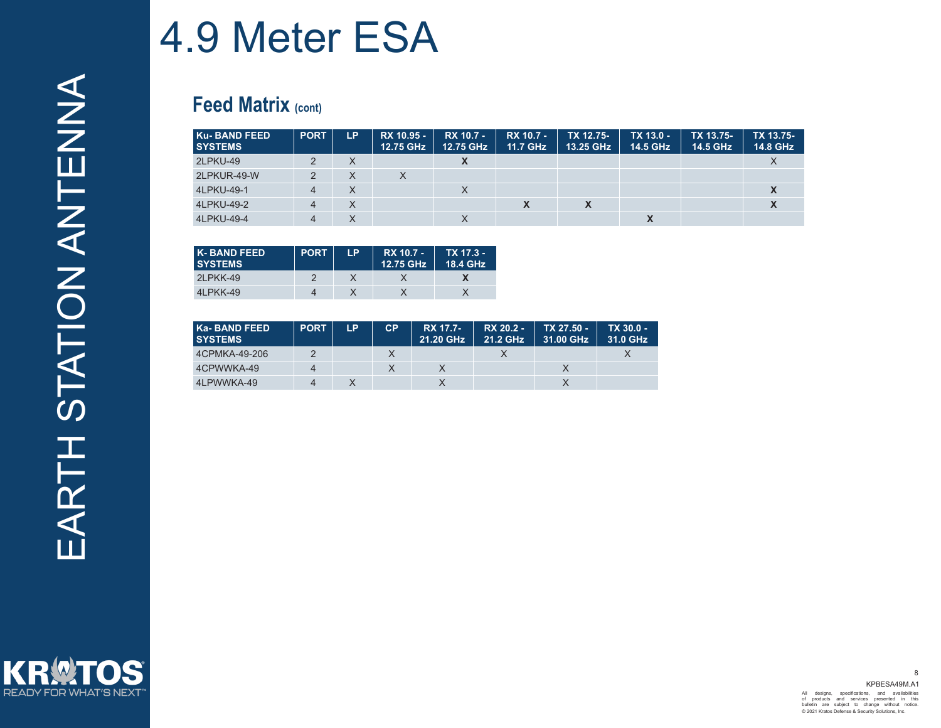#### **Feed Matrix (cont)**

| Ku-BAND FEED<br><b>SYSTEMS</b> | <b>PORT</b>    | LP. | RX 10.95 -<br>12.75 GHz | RX 10.7 -<br>12.75 GHz | <b>RX 10.7 -</b><br>11.7 GHz | TX 12.75-<br>13.25 GHz | TX 13.0 -<br>14.5 GHz | TX 13.75-<br>14.5 GHz | TX 13.75-<br>14.8 GHz |
|--------------------------------|----------------|-----|-------------------------|------------------------|------------------------------|------------------------|-----------------------|-----------------------|-----------------------|
| 2LPKU-49                       | 2              | X   |                         | v<br>$\lambda$         |                              |                        |                       |                       |                       |
| 2LPKUR-49-W                    | 2              | X   | X                       |                        |                              |                        |                       |                       |                       |
| 4LPKU-49-1                     | $\overline{4}$ | X   |                         | X                      |                              |                        |                       |                       |                       |
| 4LPKU-49-2                     | $\overline{4}$ | X   |                         |                        | X                            | X                      |                       |                       | $\lambda$             |
| 4LPKU-49-4                     | 4              | X   |                         | X                      |                              |                        | X                     |                       |                       |

| <b>K-BAND FEED</b><br><b>SYSTEMS</b> | <b>PORT</b> | I P | RX 10.7 -<br>12.75 GHz | TX 17.3 -<br>18.4 GHz |
|--------------------------------------|-------------|-----|------------------------|-----------------------|
| 2LPKK-49                             |             |     |                        |                       |
| 4LPKK-49                             |             |     |                        |                       |

| Ka-BAND FEED<br><b>SYSTEMS</b> | <b>PORT</b> | LP | <b>CP</b> | <b>RX 17.7-</b><br>21.20 GHz | RX 20.2 -<br>21.2 GHz | TX 27.50 -<br>31.00 GHz | TX 30.0 -<br>31.0 GHz |
|--------------------------------|-------------|----|-----------|------------------------------|-----------------------|-------------------------|-----------------------|
| 4CPMKA-49-206                  |             |    |           |                              |                       |                         |                       |
| 4CPWWKA-49                     | Δ           |    |           |                              |                       |                         |                       |
| 4LPWWKA-49                     | $\Lambda$   |    |           |                              |                       |                         |                       |

KR OS **READY FOR WHAT'S NEXT**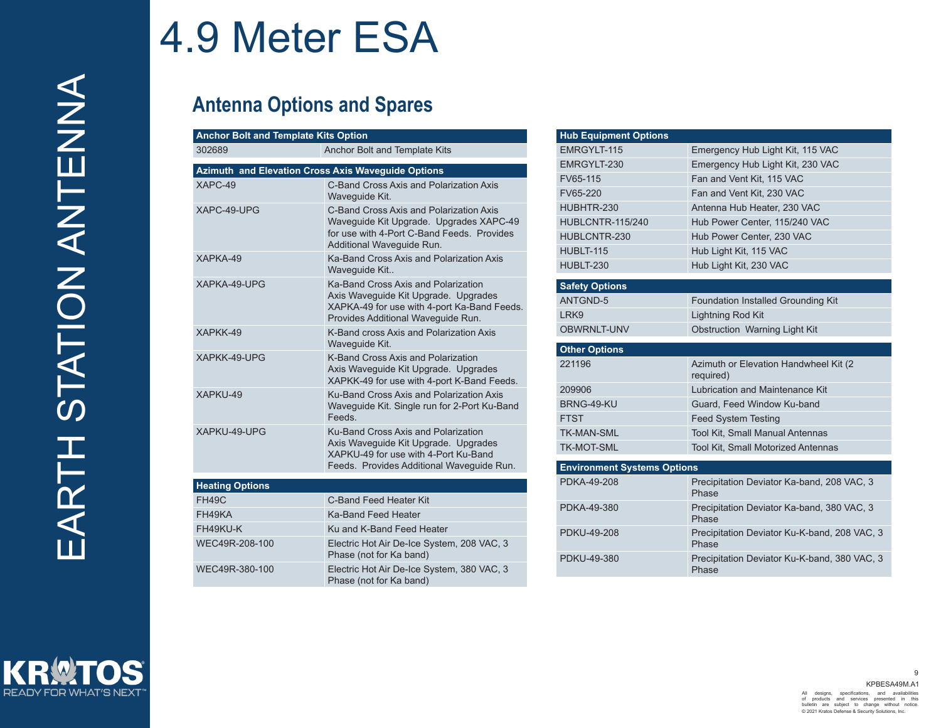### **Antenna Options and Spares**

| <b>Anchor Bolt and Template Kits Option</b>               |                                                                                                                                                                  |
|-----------------------------------------------------------|------------------------------------------------------------------------------------------------------------------------------------------------------------------|
| 302689                                                    | Anchor Bolt and Template Kits                                                                                                                                    |
| <b>Azimuth and Elevation Cross Axis Waveguide Options</b> |                                                                                                                                                                  |
| $XAPC-49$                                                 | C-Band Cross Axis and Polarization Axis<br>Waveguide Kit.                                                                                                        |
| XAPC-49-UPG                                               | C-Band Cross Axis and Polarization Axis<br>Waveguide Kit Upgrade. Upgrades XAPC-49<br>for use with 4-Port C-Band Feeds. Provides<br>Additional Wavequide Run.    |
| XAPKA-49                                                  | Ka-Band Cross Axis and Polarization Axis<br>Waveguide Kit                                                                                                        |
| XAPKA-49-UPG                                              | Ka-Band Cross Axis and Polarization<br>Axis Wavequide Kit Upgrade. Upgrades<br>XAPKA-49 for use with 4-port Ka-Band Feeds.<br>Provides Additional Wavequide Run. |
| XAPKK-49                                                  | K-Band cross Axis and Polarization Axis<br>Waveguide Kit.                                                                                                        |
| XAPKK-49-UPG                                              | K-Band Cross Axis and Polarization<br>Axis Waveguide Kit Upgrade. Upgrades<br>XAPKK-49 for use with 4-port K-Band Feeds.                                         |
| XAPKU-49                                                  | Ku-Band Cross Axis and Polarization Axis<br>Waveguide Kit. Single run for 2-Port Ku-Band<br>Feeds                                                                |
| XAPKU-49-UPG                                              | Ku-Band Cross Axis and Polarization<br>Axis Waveguide Kit Upgrade. Upgrades<br>XAPKU-49 for use with 4-Port Ku-Band<br>Feeds. Provides Additional Waveguide Run. |
| <b>Heating Options</b>                                    |                                                                                                                                                                  |
| <b>FH49C</b>                                              | C-Band Feed Heater Kit                                                                                                                                           |
| FH49KA                                                    | Ka-Band Feed Heater                                                                                                                                              |
| FH49KU-K                                                  | Ku and K-Band Feed Heater                                                                                                                                        |

WEC49R-208-100 Electric Hot Air De-Ice System, 208 VAC, 3

WEC49R-380-100 Electric Hot Air De-Ice System, 380 VAC, 3

Phase (not for Ka band)

Phase (not for Ka band)

| <b>Hub Equipment Options</b>       |                                                       |
|------------------------------------|-------------------------------------------------------|
| EMRGYLT-115                        | Emergency Hub Light Kit, 115 VAC                      |
| EMRGYLT-230                        | Emergency Hub Light Kit, 230 VAC                      |
| FV65-115                           | Fan and Vent Kit, 115 VAC                             |
| FV65-220                           | Fan and Vent Kit. 230 VAC                             |
| HUBHTR-230                         | Antenna Hub Heater, 230 VAC                           |
| <b>HUBLCNTR-115/240</b>            | Hub Power Center, 115/240 VAC                         |
| HUBLCNTR-230                       | Hub Power Center, 230 VAC                             |
| HUBLT-115                          | Hub Light Kit, 115 VAC                                |
| HUBLT-230                          | Hub Light Kit, 230 VAC                                |
| <b>Safety Options</b>              |                                                       |
| <b>ANTGND-5</b>                    | Foundation Installed Grounding Kit                    |
| LRK9                               | Lightning Rod Kit                                     |
| <b>OBWRNLT-UNV</b>                 | Obstruction Warning Light Kit                         |
|                                    |                                                       |
| <b>Other Options</b>               |                                                       |
| 221196                             | Azimuth or Elevation Handwheel Kit (2)<br>required)   |
| 209906                             | Lubrication and Maintenance Kit                       |
| BRNG-49-KU                         | Guard. Feed Window Ku-band                            |
| FTST                               | <b>Feed System Testing</b>                            |
| <b>TK-MAN-SML</b>                  | <b>Tool Kit. Small Manual Antennas</b>                |
| TK-MOT-SML                         | Tool Kit, Small Motorized Antennas                    |
| <b>Environment Systems Options</b> |                                                       |
| PDKA-49-208                        | Precipitation Deviator Ka-band, 208 VAC, 3<br>Phase   |
| PDKA-49-380                        | Precipitation Deviator Ka-band, 380 VAC, 3<br>Phase   |
| PDKU-49-208                        | Precipitation Deviator Ku-K-band, 208 VAC, 3<br>Phase |
| PDKU-49-380                        | Precipitation Deviator Ku-K-band, 380 VAC, 3<br>Phase |
|                                    |                                                       |

READY FOR WHAT'S NEXT

 KPBESA49M.A1 9 All designs, specifications, and availabilities of products and services presented in this bulletin are subject to change without notice. © 2021 Kratos Defense & Security Solutions, Inc.